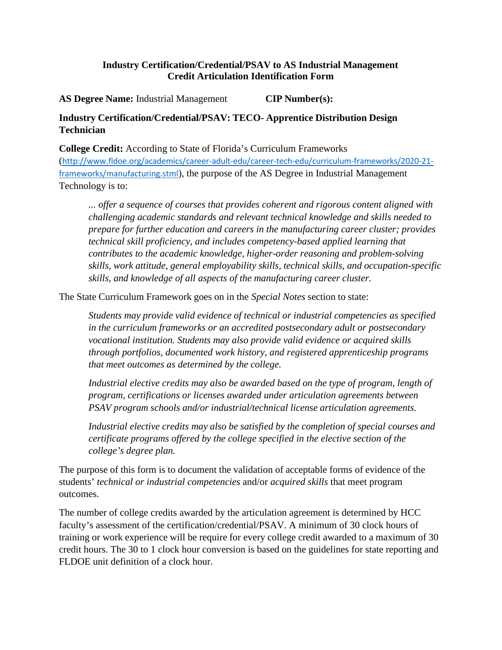## **Industry Certification/Credential/PSAV to AS Industrial Management Credit Articulation Identification Form**

 **AS Degree Name:** Industrial Management **CIP Number(s):** 

## **Industry Certification/Credential/PSAV: TECO- Apprentice Distribution Design Technician**

 Technology is to: **College Credit:** According to State of Florida's Curriculum Frameworks ([http://www.fldoe.org/academics/career-adult-edu/career-tech-edu/curriculum-frameworks/2020-21](http://www.fldoe.org/academics/career-adult-edu/career-tech-edu/curriculum-frameworks/2020-21-) frameworks/manufacturing.stml), the purpose of the AS Degree in Industrial Management

 *skills, work attitude, general employability skills, technical skills, and occupation-specific skills, and knowledge of all aspects of the manufacturing career cluster. ... offer a sequence of courses that provides coherent and rigorous content aligned with challenging academic standards and relevant technical knowledge and skills needed to prepare for further education and careers in the manufacturing career cluster; provides technical skill proficiency, and includes competency-based applied learning that contributes to the academic knowledge, higher-order reasoning and problem-solving* 

The State Curriculum Framework goes on in the *Special Notes* section to state:

 *Students may provide valid evidence of technical or industrial competencies as specified that meet outcomes as determined by the college. in the curriculum frameworks or an accredited postsecondary adult or postsecondary vocational institution. Students may also provide valid evidence or acquired skills through portfolios, documented work history, and registered apprenticeship programs* 

 *Industrial elective credits may also be awarded based on the type of program, length of PSAV program schools and/or industrial/technical license articulation agreements. program, certifications or licenses awarded under articulation agreements between* 

 *Industrial elective credits may also be satisfied by the completion of special courses and college's degree plan. certificate programs offered by the college specified in the elective section of the* 

 The purpose of this form is to document the validation of acceptable forms of evidence of the students' *technical or industrial competencies* and/or *acquired skills* that meet program outcomes.

 training or work experience will be require for every college credit awarded to a maximum of 30 FLDOE unit definition of a clock hour. The number of college credits awarded by the articulation agreement is determined by HCC faculty's assessment of the certification/credential/PSAV. A minimum of 30 clock hours of credit hours. The 30 to 1 clock hour conversion is based on the guidelines for state reporting and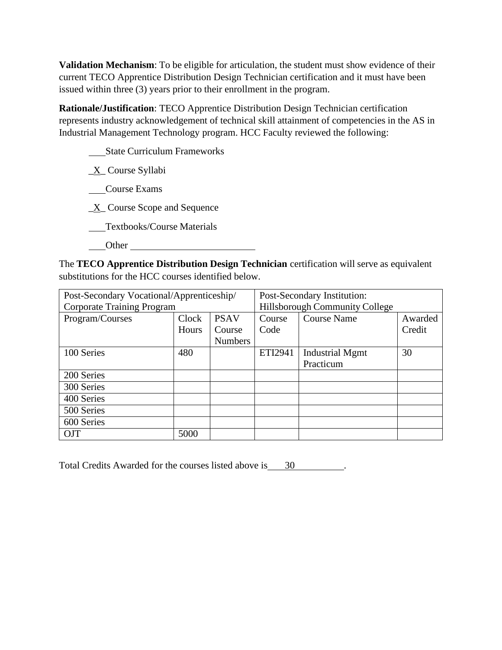**Validation Mechanism**: To be eligible for articulation, the student must show evidence of their issued within three (3) years prior to their enrollment in the program. current TECO Apprentice Distribution Design Technician certification and it must have been

 represents industry acknowledgement of technical skill attainment of competencies in the AS in Industrial Management Technology program. HCC Faculty reviewed the following: **Rationale/Justification**: TECO Apprentice Distribution Design Technician certification

State Curriculum Frameworks

\_X\_ Course Syllabi

Course Exams

 $X$  Course Scope and Sequence

Textbooks/Course Materials

Other

 The **TECO Apprentice Distribution Design Technician** certification will serve as equivalent substitutions for the HCC courses identified below.

| Post-Secondary Vocational/Apprenticeship/ |       |                | Post-Secondary Institution:    |                        |         |
|-------------------------------------------|-------|----------------|--------------------------------|------------------------|---------|
| <b>Corporate Training Program</b>         |       |                | Hillsborough Community College |                        |         |
| Program/Courses                           | Clock | <b>PSAV</b>    | Course                         | <b>Course Name</b>     | Awarded |
|                                           | Hours | Course         | Code                           |                        | Credit  |
|                                           |       | <b>Numbers</b> |                                |                        |         |
| 100 Series                                | 480   |                | ETI2941                        | <b>Industrial Mgmt</b> | 30      |
|                                           |       |                |                                | Practicum              |         |
| 200 Series                                |       |                |                                |                        |         |
| 300 Series                                |       |                |                                |                        |         |
| 400 Series                                |       |                |                                |                        |         |
| 500 Series                                |       |                |                                |                        |         |
| 600 Series                                |       |                |                                |                        |         |
| <b>OJT</b>                                | 5000  |                |                                |                        |         |

Total Credits Awarded for the courses listed above is 30